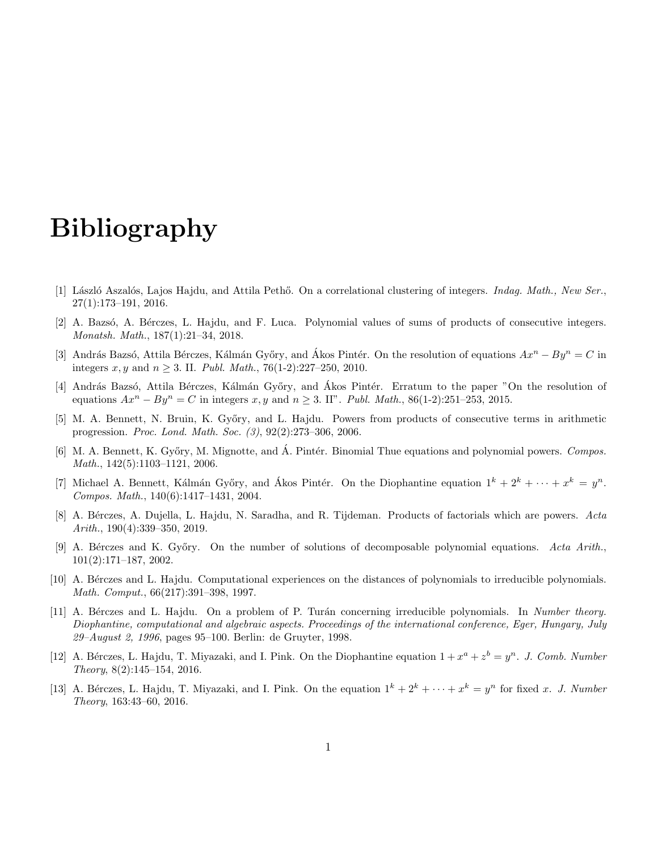## Bibliography

- [1] László Aszalós, Lajos Hajdu, and Attila Pethő. On a correlational clustering of integers. *Indag. Math.*, New Ser., 27(1):173–191, 2016.
- [2] A. Bazsó, A. Bérczes, L. Hajdu, and F. Luca. Polynomial values of sums of products of consecutive integers. Monatsh. Math., 187(1):21–34, 2018.
- [3] András Bazsó, Attila Bérczes, Kálmán Győry, and Ákos Pintér. On the resolution of equations  $Ax^n By^n = C$  in integers x, y and  $n \ge 3$ . II. Publ. Math., 76(1-2):227–250, 2010.
- [4] András Bazsó, Attila Bérczes, Kálmán Győry, and Ákos Pintér. Erratum to the paper "On the resolution of equations  $Ax^n - By^n = C$  in integers x, y and  $n \ge 3$ . II". Publ. Math., 86(1-2):251–253, 2015.
- [5] M. A. Bennett, N. Bruin, K. Győry, and L. Hajdu. Powers from products of consecutive terms in arithmetic progression. Proc. Lond. Math. Soc. (3), 92(2):273–306, 2006.
- [6] M. A. Bennett, K. Győry, M. Mignotte, and A. Pintér. Binomial Thue equations and polynomial powers. Compos. Math., 142(5):1103–1121, 2006.
- [7] Michael A. Bennett, Kálmán Győry, and Ákos Pintér. On the Diophantine equation  $1^k + 2^k + \cdots + x^k = y^n$ . Compos. Math., 140(6):1417–1431, 2004.
- [8] A. Bérczes, A. Dujella, L. Hajdu, N. Saradha, and R. Tijdeman. Products of factorials which are powers. Acta Arith., 190(4):339–350, 2019.
- [9] A. Bérczes and K. Győry. On the number of solutions of decomposable polynomial equations. Acta Arith., 101(2):171–187, 2002.
- [10] A. Bérczes and L. Hajdu. Computational experiences on the distances of polynomials to irreducible polynomials. Math. Comput., 66(217):391–398, 1997.
- [11] A. Bérczes and L. Hajdu. On a problem of P. Turán concerning irreducible polynomials. In Number theory. Diophantine, computational and algebraic aspects. Proceedings of the international conference, Eger, Hungary, July 29–August 2, 1996, pages 95–100. Berlin: de Gruyter, 1998.
- [12] A. Bérczes, L. Hajdu, T. Miyazaki, and I. Pink. On the Diophantine equation  $1 + x^a + z^b = y^n$ . J. Comb. Number Theory, 8(2):145–154, 2016.
- [13] A. Bérczes, L. Hajdu, T. Miyazaki, and I. Pink. On the equation  $1^k + 2^k + \cdots + x^k = y^n$  for fixed x. J. Number Theory, 163:43–60, 2016.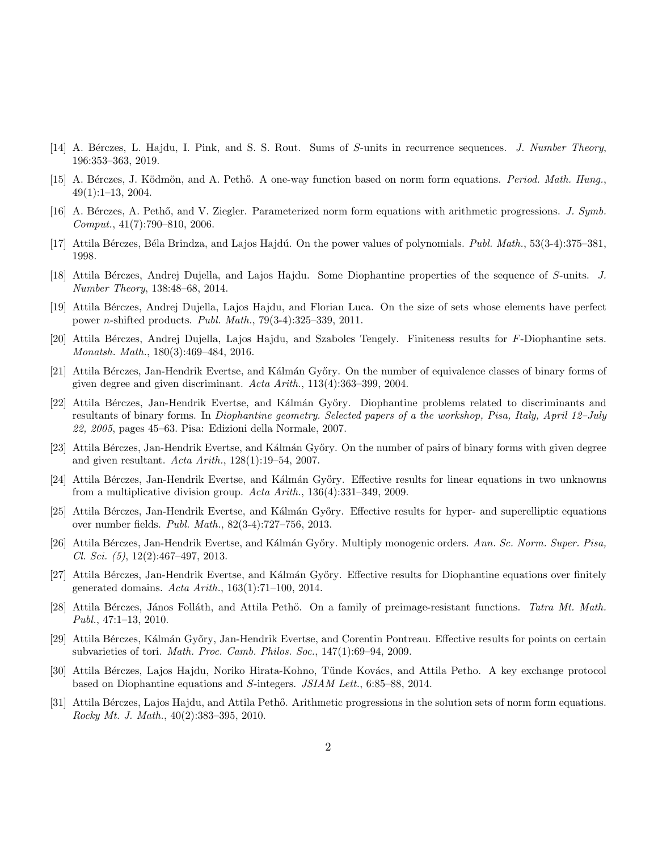- [14] A. Bérczes, L. Hajdu, I. Pink, and S. S. Rout. Sums of S-units in recurrence sequences. J. Number Theory, 196:353–363, 2019.
- [15] A. Bérczes, J. Ködmön, and A. Pethő. A one-way function based on norm form equations. Period. Math. Hung. 49(1):1–13, 2004.
- [16] A. Bérczes, A. Pethő, and V. Ziegler. Parameterized norm form equations with arithmetic progressions. J. Symb. Comput., 41(7):790–810, 2006.
- [17] Attila Bérczes, Béla Brindza, and Lajos Hajdú. On the power values of polynomials. Publ. Math., 53(3-4):375–381, 1998.
- [18] Attila Bérczes, Andrej Dujella, and Lajos Hajdu. Some Diophantine properties of the sequence of S-units. J. Number Theory, 138:48–68, 2014.
- [19] Attila Bérczes, Andrej Dujella, Lajos Hajdu, and Florian Luca. On the size of sets whose elements have perfect power n-shifted products. Publ. Math., 79(3-4):325–339, 2011.
- [20] Attila Bérczes, Andrej Dujella, Lajos Hajdu, and Szabolcs Tengely. Finiteness results for F-Diophantine sets. Monatsh. Math., 180(3):469–484, 2016.
- [21] Attila Bérczes, Jan-Hendrik Evertse, and Kálmán Győry. On the number of equivalence classes of binary forms of given degree and given discriminant. Acta Arith., 113(4):363–399, 2004.
- [22] Attila Bérczes, Jan-Hendrik Evertse, and Kálmán Győry. Diophantine problems related to discriminants and resultants of binary forms. In Diophantine geometry. Selected papers of a the workshop, Pisa, Italy, April 12–July 22, 2005, pages 45–63. Pisa: Edizioni della Normale, 2007.
- [23] Attila Bérczes, Jan-Hendrik Evertse, and Kálmán Győry. On the number of pairs of binary forms with given degree and given resultant. Acta Arith., 128(1):19–54, 2007.
- [24] Attila Bérczes, Jan-Hendrik Evertse, and Kálmán Győry. Effective results for linear equations in two unknowns from a multiplicative division group. Acta Arith., 136(4):331–349, 2009.
- [25] Attila Bérczes, Jan-Hendrik Evertse, and Kálmán Győry. Effective results for hyper- and superelliptic equations over number fields. Publ. Math., 82(3-4):727–756, 2013.
- [26] Attila Bérczes, Jan-Hendrik Evertse, and Kálmán Győry. Multiply monogenic orders. Ann. Sc. Norm. Super. Pisa, Cl. Sci. (5), 12(2):467–497, 2013.
- [27] Attila Bérczes, Jan-Hendrik Evertse, and Kálmán Győry. Effective results for Diophantine equations over finitely generated domains.  $Acta \, Arith., 163(1):71-100, 2014.$
- [28] Attila Bérczes, János Folláth, and Attila Pethö. On a family of preimage-resistant functions. Tatra Mt. Math. Publ., 47:1–13, 2010.
- [29] Attila Bérczes, Kálmán Győry, Jan-Hendrik Evertse, and Corentin Pontreau. Effective results for points on certain subvarieties of tori. Math. Proc. Camb. Philos. Soc., 147(1):69–94, 2009.
- [30] Attila Bérczes, Lajos Hajdu, Noriko Hirata-Kohno, Tünde Kovács, and Attila Petho. A key exchange protocol based on Diophantine equations and S-integers. JSIAM Lett., 6:85–88, 2014.
- [31] Attila Bérczes, Lajos Hajdu, and Attila Pethő. Arithmetic progressions in the solution sets of norm form equations. Rocky Mt. J. Math., 40(2):383–395, 2010.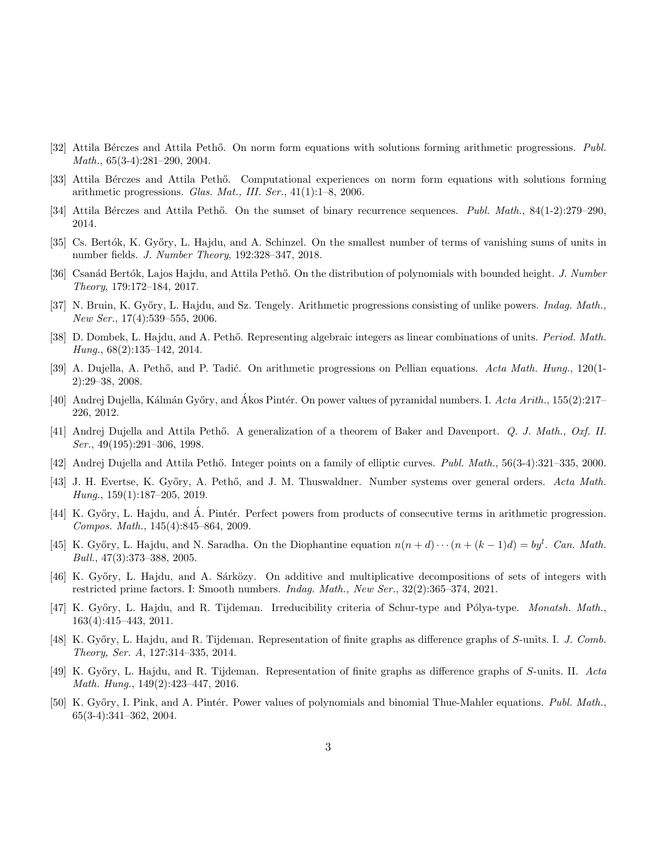- [32] Attila Bérczes and Attila Pethő. On norm form equations with solutions forming arithmetic progressions. Publ. Math., 65(3-4):281–290, 2004.
- [33] Attila Bérczes and Attila Pethő. Computational experiences on norm form equations with solutions forming arithmetic progressions. Glas. Mat., III. Ser.,  $41(1):1-8$ , 2006.
- [34] Attila Bérczes and Attila Pethő. On the sumset of binary recurrence sequences. Publ. Math., 84(1-2):279–290, 2014.
- [35] Cs. Bertók, K. Győry, L. Hajdu, and A. Schinzel. On the smallest number of terms of vanishing sums of units in number fields. J. Number Theory, 192:328–347, 2018.
- [36] Csanád Bertók, Lajos Hajdu, and Attila Pethő. On the distribution of polynomials with bounded height. J. Number Theory, 179:172–184, 2017.
- [37] N. Bruin, K. Győry, L. Hajdu, and Sz. Tengely. Arithmetic progressions consisting of unlike powers. *Indag. Math.*, New Ser., 17(4):539–555, 2006.
- [38] D. Dombek, L. Hajdu, and A. Pethő. Representing algebraic integers as linear combinations of units. Period. Math. Hung., 68(2):135–142, 2014.
- [39] A. Dujella, A. Pethő, and P. Tadić. On arithmetic progressions on Pellian equations. Acta Math. Hung., 120(1-2):29–38, 2008.
- [40] Andrej Dujella, Kálmán Győry, and Akos Pintér. On power values of pyramidal numbers. I. Acta Arith., 155(2):217– 226, 2012.
- [41] Andrej Dujella and Attila Pethő. A generalization of a theorem of Baker and Davenport. Q. J. Math., Oxf. II. Ser., 49(195):291–306, 1998.
- [42] Andrej Dujella and Attila Pethő. Integer points on a family of elliptic curves. Publ. Math., 56(3-4):321–335, 2000.
- [43] J. H. Evertse, K. Győry, A. Pethő, and J. M. Thuswaldner. Number systems over general orders. Acta Math. Hung., 159(1):187–205, 2019.
- [44] K. Győry, L. Hajdu, and Á. Pintér. Perfect powers from products of consecutive terms in arithmetic progression. Compos. Math., 145(4):845–864, 2009.
- [45] K. Győry, L. Hajdu, and N. Saradha. On the Diophantine equation  $n(n+d)\cdots(n+(k-1)d) = by^l$ . Can. Math. Bull., 47(3):373–388, 2005.
- [46] K. Győry, L. Hajdu, and A. Sárközy. On additive and multiplicative decompositions of sets of integers with restricted prime factors. I: Smooth numbers. Indag. Math., New Ser., 32(2):365–374, 2021.
- [47] K. Győry, L. Hajdu, and R. Tijdeman. Irreducibility criteria of Schur-type and Pólya-type. Monatsh. Math., 163(4):415–443, 2011.
- [48] K. Győry, L. Hajdu, and R. Tijdeman. Representation of finite graphs as difference graphs of S-units. I. J. Comb. Theory, Ser. A, 127:314–335, 2014.
- [49] K. Gy˝ory, L. Hajdu, and R. Tijdeman. Representation of finite graphs as difference graphs of S-units. II. Acta Math. Hung., 149(2):423–447, 2016.
- [50] K. Győry, I. Pink, and A. Pintér. Power values of polynomials and binomial Thue-Mahler equations. Publ. Math., 65(3-4):341–362, 2004.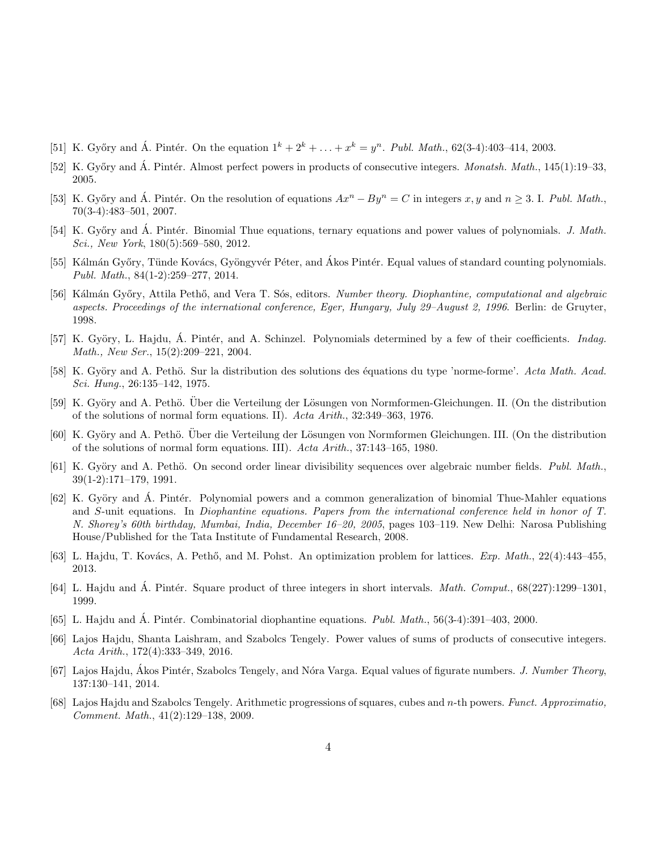- [51] K. Győry and Á. Pintér. On the equation  $1^k + 2^k + \ldots + x^k = y^n$ . Publ. Math., 62(3-4):403-414, 2003.
- [52] K. Győry and Á. Pintér. Almost perfect powers in products of consecutive integers. Monatsh. Math.,  $145(1):19-33$ , 2005.
- [53] K. Győry and A. Pintér. On the resolution of equations  $Ax^n By^n = C$  in integers x, y and  $n \geq 3$ . I. Publ. Math., 70(3-4):483–501, 2007.
- [54] K. Győry and Á. Pintér. Binomial Thue equations, ternary equations and power values of polynomials. J. Math. Sci., New York, 180(5):569–580, 2012.
- [55] Kálmán Győry, Tünde Kovács, Gyöngyvér Péter, and Akos Pintér. Equal values of standard counting polynomials. Publ. Math., 84(1-2):259–277, 2014.
- [56] Kálmán Győry, Attila Pethő, and Vera T. Sós, editors. Number theory. Diophantine, computational and algebraic aspects. Proceedings of the international conference, Eger, Hungary, July 29–August 2, 1996. Berlin: de Gruyter, 1998.
- [57] K. Györy, L. Hajdu, A. Pintér, and A. Schinzel. Polynomials determined by a few of their coefficients. *Indag.* Math., New Ser., 15(2):209–221, 2004.
- [58] K. Györy and A. Pethö. Sur la distribution des solutions des équations du type 'norme-forme'. Acta Math. Acad. Sci. Hung., 26:135–142, 1975.
- [59] K. Györy and A. Pethö. Über die Verteilung der Lösungen von Normformen-Gleichungen. II. (On the distribution of the solutions of normal form equations. II). Acta Arith., 32:349–363, 1976.
- [60] K. Györy and A. Pethö. Über die Verteilung der Lösungen von Normformen Gleichungen. III. (On the distribution of the solutions of normal form equations. III). Acta Arith., 37:143–165, 1980.
- [61] K. Györy and A. Pethö. On second order linear divisibility sequences over algebraic number fields. Publ. Math., 39(1-2):171–179, 1991.
- [62] K. Györy and A. Pintér. Polynomial powers and a common generalization of binomial Thue-Mahler equations and S-unit equations. In Diophantine equations. Papers from the international conference held in honor of T. N. Shorey's 60th birthday, Mumbai, India, December 16–20, 2005, pages 103–119. New Delhi: Narosa Publishing House/Published for the Tata Institute of Fundamental Research, 2008.
- [63] L. Hajdu, T. Kovács, A. Pethő, and M. Pohst. An optimization problem for lattices. Exp. Math., 22(4):443–455, 2013.
- [64] L. Hajdu and A. Pintér. Square product of three integers in short intervals. *Math. Comput.*,  $68(227):1299-1301$ , 1999.
- [65] L. Hajdu and Á. Pintér. Combinatorial diophantine equations.  $Publ. Math., 56(3-4):391-403, 2000.$
- [66] Lajos Hajdu, Shanta Laishram, and Szabolcs Tengely. Power values of sums of products of consecutive integers. Acta Arith., 172(4):333–349, 2016.
- [67] Lajos Hajdu, Ákos Pintér, Szabolcs Tengely, and Nóra Varga. Equal values of figurate numbers. J. Number Theory, 137:130–141, 2014.
- [68] Lajos Hajdu and Szabolcs Tengely. Arithmetic progressions of squares, cubes and n-th powers. Funct. Approximatio, Comment. Math., 41(2):129–138, 2009.